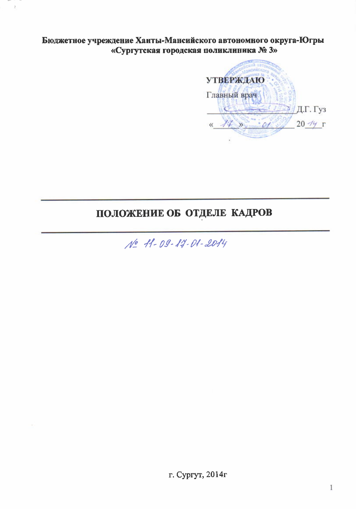Бюджетное учреждение Ханты-Мансийского автономного округа-Югры «Сургутская городская поликлиника № 3»

 $\bar{\underline{z}}$ 



# ПОЛОЖЕНИЕ ОБ ОТДЕЛЕ КАДРОВ

No 11-09-14-01-2014

г. Сургут, 2014г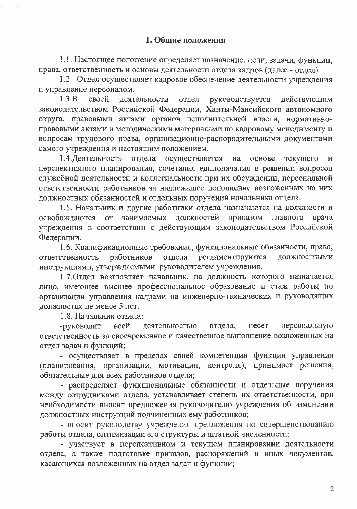1.1. Настоящее положение определяет назначение, цели, задачи, функции, права, ответственность и основы деятельности отдела кадров (далее - отдел).

1.2. Отдел осуществляет кадровое обеспечение деятельности учреждения и управление персоналом.

 $1.3.B$ своей деятельности отдел руководствуется действующим законодательством Российской Федерации, Ханты-Мансийского автономного округа, правовыми актами органов исполнительной власти, нормативноправовыми актами и методическими материалами по кадровому менеджменту и вопросам трудового права, организационно-распорядительными документами самого учреждения и настоящим положением.

1.4. Деятельность отдела осуществляется на основе текущего  $\overline{\mathbf{M}}$ перспективного планирования, сочетания единоначалия в решении вопросов служебной деятельности и коллегиальности при их обсуждении, персональной ответственности работников за надлежащее исполнение возложенных на них должностных обязанностей и отдельных поручений начальника отдела.

1.5. Начальник и другие работники отдела назначаются на должности и приказом главного должностей освобождаются  $OT$ занимаемых врача учреждения в соответствии с действующим законодательством Российской Федерации.

1.6. Квалификационные требования, функциональные обязанности, права, отдела работников ответственность регламентируются должностными инструкциями, утверждаемыми руководителем учреждения.

1.7. Отдел возглавляет начальник, на должность которого назначается лицо, имеющее высшее профессиональное образование и стаж работы по организации управления кадрами на инженерно-технических и руководящих должностях не менее 5 лет.

1.8. Начальник отдела:

персональную -руководит всей деятельностью отдела, несет ответственность за своевременное и качественное выполнение возложенных на отдел задач и функций;

- осуществляет в пределах своей компетенции функции управления (планирования, организации, мотивации, контроля), принимает решения, обязательные для всех работников отдела;

- распределяет функциональные обязанности и отдельные поручения между сотрудниками отдела, устанавливает степень их ответственности, при необходимости вносит предложения руководителю учреждения об изменении должностных инструкций подчиненных ему работников;

- вносит руководству учреждения предложения по совершенствованию работы отдела, оптимизации его структуры и штатной численности;

- участвует в перспективном и текущем планировании деятельности отдела, а также подготовке приказов, распоряжений и иных документов, касающихся возложенных на отдел задач и функций;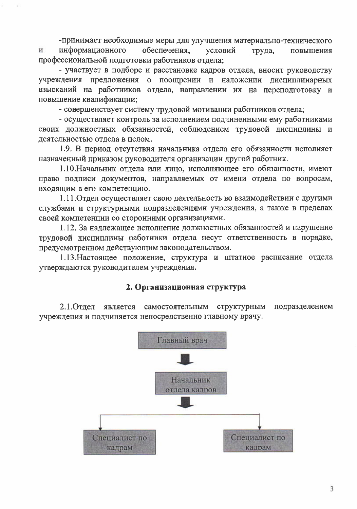-принимает необходимые меры для улучшения материально-технического обеспечения, информационного условий И труда, повышения профессиональной подготовки работников отдела;

- участвует в подборе и расстановке кадров отдела, вносит руководству учреждения предложения о поощрении и наложении дисциплинарных взысканий на работников отдела, направлении их на переподготовку и повышение квалификации;

- совершенствует систему трудовой мотивации работников отдела;

- осуществляет контроль за исполнением подчиненными ему работниками своих должностных обязанностей, соблюдением трудовой дисциплины и деятельностью отдела в целом.

1.9. В период отсутствия начальника отдела его обязанности исполняет назначенный приказом руководителя организации другой работник.

1.10. Начальник отдела или лицо, исполняющее его обязанности, имеют право подписи документов, направляемых от имени отдела по вопросам, входящим в его компетенцию.

1.11. Отдел осуществляет свою деятельность во взаимодействии с другими службами и структурными подразделениями учреждения, а также в пределах своей компетенции со сторонними организациями.

1.12. За надлежащее исполнение должностных обязанностей и нарушение трудовой дисциплины работники отдела несут ответственность в порядке, предусмотренном действующим законодательством.

1.13. Настоящее положение, структура и штатное расписание отдела утверждаются руководителем учреждения.

#### 2. Организационная структура

2.1. Отдел является самостоятельным подразделением структурным учреждения и подчиняется непосредственно главному врачу.

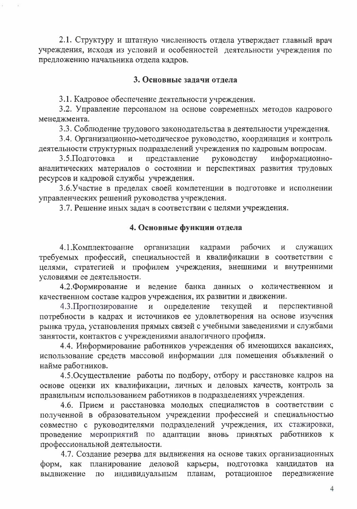2.1. Структуру и штатную численность отдела утверждает главный врач учреждения, исходя из условий и особенностей деятельности учреждения по предложению начальника отдела кадров.

#### 3. Основные залачи отлела

3.1. Кадровое обеспечение деятельности учреждения.

3.2. Управление персоналом на основе современных методов кадрового менеджмента.

3.3. Соблюдение трудового законодательства в деятельности учреждения.

3.4. Организационно-методическое руководство, координация и контроль деятельности структурных подразделений учреждения по кадровым вопросам.

3.5. Полготовка  $\mathbf{M}$ представление руководству информационноаналитических материалов о состоянии и перспективах развития трудовых ресурсов и кадровой службы учреждения.

3.6. Участие в пределах своей компетенции в подготовке и исполнении управленческих решений руководства учреждения.

3.7. Решение иных задач в соответствии с целями учреждения.

### 4. Основные функции отдела

рабочих 4.1. Комплектование организации кадрами  $\overline{\mathbf{M}}$ служащих требуемых профессий, специальностей и квалификации в соответствии с целями, стратегией и профилем учреждения, внешними и внутренними условиями ее деятельности.

4.2. Формирование и ведение банка данных количественном  $\overline{O}$  $\mathbf{M}$ качественном составе кадров учреждения, их развитии и движении.

перспективной 4.3. Прогнозирование определение текущей  $\mathbf{M}$  $\mathbf{M}$ потребности в кадрах и источников ее удовлетворения на основе изучения рынка труда, установления прямых связей с учебными заведениями и службами занятости, контактов с учреждениями аналогичного профиля.

4.4. Информирование работников учреждения об имеющихся вакансиях, использование средств массовой информации для помещения объявлений о найме работников.

4.5. Осуществление работы по подбору, отбору и расстановке кадров на основе оценки их квалификации, личных и деловых качеств, контроль за правильным использованием работников в подразделениях учреждения.

4.6. Прием и расстановка молодых специалистов в соответствии с полученной в образовательном учреждении профессией и специальностью совместно с руководителями подразделений учреждения, их стажировки, проведение мероприятий по адаптации вновь принятых работников к профессиональной деятельности.

4.7. Создание резерва для выдвижения на основе таких организационных планирование деловой карьеры, подготовка кандидатов форм, как на вылвижение  $\Pi$ O индивидуальным планам, ротационное передвижение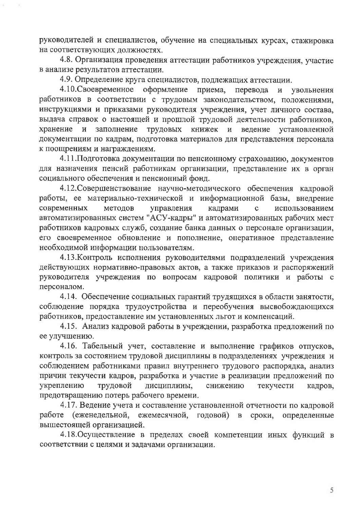руководителей и специалистов, обучение на специальных курсах, стажировка на соответствующих должностях.

4.8. Организация проведения аттестации работников учреждения, участие в анализе результатов аттестации.

4.9. Определение круга специалистов, подлежащих аттестации.

4.10. Своевременное оформление приема, перевода  $\mathbf{M}$ увольнения работников в соответствии с трудовым законодательством, положениями, инструкциями и приказами руководителя учреждения, учет личного состава, выдача справок о настоящей и прошлой трудовой деятельности работников, хранение и заполнение трудовых книжек и ведение установленной документации по кадрам, подготовка материалов для представления персонала к поощрениям и награждениям.

4.11. Подготовка документации по пенсионному страхованию, документов для назначения пенсий работникам организации, представление их в орган социального обеспечения и пенсионный фонд.

4.12. Совершенствование научно-методического обеспечения кадровой работы, ее материально-технической и информационной базы, внедрение современных методов управления кадрами  $\mathbf{c}$ использованием автоматизированных систем "АСУ-кадры" и автоматизированных рабочих мест работников кадровых служб, создание банка данных о персонале организации, его своевременное обновление и пополнение, оперативное представление необходимой информации пользователям.

4.13. Контроль исполнения руководителями подразделений учреждения действующих нормативно-правовых актов, а также приказов и распоряжений руководителя учреждения по вопросам кадровой политики и работы с персоналом.

4.14. Обеспечение социальных гарантий трудящихся в области занятости, соблюдение порядка трудоустройства и переобучения высвобождающихся работников, предоставление им установленных льгот и компенсаций.

4.15. Анализ кадровой работы в учреждении, разработка предложений по ее улучшению.

4.16. Табельный учет, составление и выполнение графиков отпусков, контроль за состоянием трудовой дисциплины в подразделениях учреждения и соблюдением работниками правил внутреннего трудового распорядка, анализ причин текучести кадров, разработка и участие в реализации предложений по укреплению трудовой дисциплины, снижению текучести кадров, предотвращению потерь рабочего времени.

4.17. Ведение учета и составление установленной отчетности по кадровой работе (еженедельной, ежемесячной, годовой) в сроки, определенные вышестоящей организацией.

4.18. Осуществление в пределах своей компетенции иных функций в соответствии с целями и задачами организации.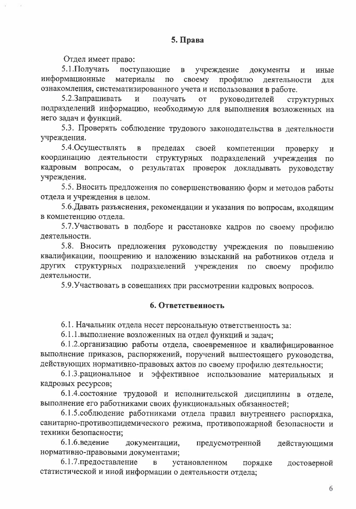Отдел имеет право:

5.1. Получать поступающие  $\mathbf{B}$ учреждение документы  $\mathbf{M}$ иные информационные материалы своему  $\Pi$ O профилю деятельности лля ознакомления, систематизированного учета и использования в работе.

5.2.Запрашивать  $\mathbf{M}$ получать **OT** руководителей структурных подразделений информацию, необходимую для выполнения возложенных на него задач и функций.

5.3. Проверять соблюдение трудового законодательства в деятельности учреждения.

5.4. Осуществлять пределах  $\, {\bf B} \,$ своей компетенции проверку  $\, {\bf N}$ координацию деятельности структурных подразделений учреждения  $\Pi$ <sup>O</sup> кадровым вопросам, о результатах проверок докладывать руководству учреждения.

5.5. Вносить предложения по совершенствованию форм и методов работы отдела и учреждения в целом.

5.6. Давать разъяснения, рекомендации и указания по вопросам, входящим в компетенцию отдела.

5.7. Участвовать в подборе и расстановке кадров по своему профилю деятельности.

5.8. Вносить предложения руководству учреждения по повышению квалификации, поощрению и наложению взысканий на работников отдела и других структурных подразделений учреждения  $\Pi$ <sup>O</sup> своему профилю деятельности.

5.9. Участвовать в совещаниях при рассмотрении кадровых вопросов.

#### 6. Ответственность

6.1. Начальник отдела несет персональную ответственность за:

6.1.1. выполнение возложенных на отдел функций и задач;

6.1.2.организацию работы отдела, своевременное и квалифицированное выполнение приказов, распоряжений, поручений вышестоящего руководства, действующих нормативно-правовых актов по своему профилю деятельности;

6.1.3. рациональное и эффективное использование материальных и кадровых ресурсов;

6.1.4. состояние трудовой и исполнительской дисциплины в отделе, выполнение его работниками своих функциональных обязанностей:

6.1.5. соблюдение работниками отдела правил внутреннего распорядка, санитарно-противоэпидемического режима, противопожарной безопасности и техники безопасности:

6.1.6.ведение документации, предусмотренной действующими нормативно-правовыми документами;

6.1.7. предоставление установленном  $\, {\bf B} \,$ порядке достоверной статистической и иной информации о деятельности отдела;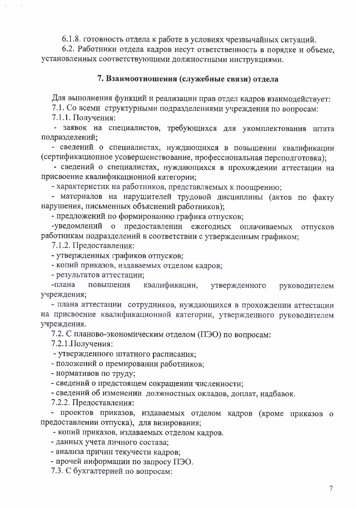6.1.8. готовность отдела к работе в условиях чрезвычайных ситуаций.

6.2. Работники отдела кадров несут ответственность в порядке и объеме. установленных соответствующими должностными инструкциями.

#### 7. Взаимоотношения (служебные связи) отдела

Для выполнения функций и реализации прав отдел кадров взаимодействует:

7.1. Со всеми структурными подразделениями учреждения по вопросам:

7.1.1. Получения:

- заявок на специалистов, требующихся для укомплектования штата подразделений;

- сведений о специалистах, нуждающихся в повышении квалификации (сертификационное усовершенствование, профессиональная переподготовка);

- сведений о специалистах, нуждающихся в прохождении аттестации на присвоение квалификационной категории;

- характеристик на работников, представляемых к поощрению;

- материалов на нарушителей трудовой дисциплины (актов по факту нарушения, письменных объяснений работников);

- предложений по формированию графика отпусков;

-уведомлений о предоставлении ежегодных оплачиваемых отпусков работникам подразделений в соответствии с утвержденным графиком;

7.1.2. Предоставления:

- утвержденных графиков отпусков;

- копий приказов, издаваемых отделом кадров;

- результатов аттестации;

-плана повышения квалификации, утвержденного руководителем учреждения;

- плана аттестации сотрудников, нуждающихся в прохождении аттестации на присвоение квалификационной категории, утвержденного руководителем учреждения.

7.2. С планово-экономическим отделом (ПЭО) по вопросам:

7.2.1. Получения:

- утвержденного штатного расписания;

- положений о премировании работников;

- нормативов по труду;

- сведений о предстоящем сокращении численности;

- сведений об изменении должностных окладов, доплат, надбавок.

7.2.2. Предоставления:

- проектов приказов, издаваемых отделом кадров (кроме приказов о предоставлении отпуска), для визирования;

- копий приказов, издаваемых отделом кадров.

- данных учета личного состава;

- анализа причин текучести кадров;

- прочей информации по запросу ПЭО.

7.3. С бухгалтерией по вопросам: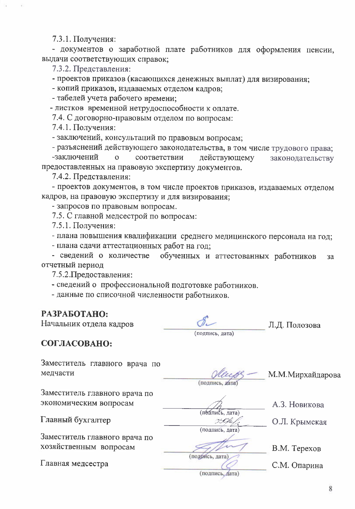7.3.1. Получения:

- документов о заработной плате работников для оформления пенсии, выдачи соответствующих справок;

7.3.2. Представления:

- проектов приказов (касающихся денежных выплат) для визирования;

- копий приказов, издаваемых отделом кадров;

- табелей учета рабочего времени;

- листков временной нетрудоспособности к оплате.

7.4. С договорно-правовым отделом по вопросам:

7.4.1. Получения:

- заключений, консультаций по правовым вопросам;

- разъяснений действующего законодательства, в том числе трудового права; -заключений  $\overline{O}$ соответствии действующему законодательству предоставленных на правовую экспертизу документов.

7.4.2. Представления:

- проектов документов, в том числе проектов приказов, издаваемых отделом кадров, на правовую экспертизу и для визирования;

- запросов по правовым вопросам.

7.5. С главной медсестрой по вопросам:

7.5.1. Получения:

- плана повышения квалификации среднего медицинского персонала на год;

- плана сдачи аттестационных работ на год;

- сведений о количестве обученных и аттестованных работников  $3a$ отчетный период

7.5.2. Предоставления:

- сведений о профессиональной подготовке работников.

- данные по списочной численности работников.

## РАЗРАБОТАНО:

Начальник отдела кадров

(подпись, дата)

Л.Д. Полозова

СОГЛАСОВАНО:

Заместитель главного врача по медчасти

Заместитель главного врача по экономическим вопросам

Главный бухгалтер

Заместитель главного врача по хозяйственным вопросам

Главная медсестра

(подпись, дата)

М.М.Мирхайдарова

А.З. Новикова

29Ch (подпись, дата)

(педпись, дата)

О.Л. Крымская

В.М. Терехов С.М. Опарина

(подпись, дата)

(подийсь, дата)

8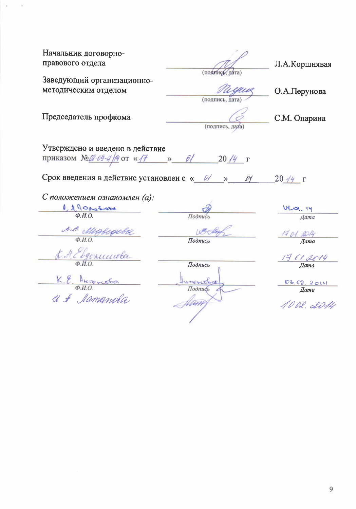| Начальник договорно-<br>правового отдела       | (подпись, дата) | Л.А.Коршнявая              |
|------------------------------------------------|-----------------|----------------------------|
| Заведующий организационно-                     |                 |                            |
| методическим отделом                           |                 | О.А.Перунова               |
|                                                | (подпись, дата) |                            |
|                                                |                 |                            |
| Председатель профкома                          |                 | С.М. Опарина               |
|                                                | (подпись, дата) |                            |
| Утверждено и введено в действие                |                 |                            |
|                                                |                 |                            |
| приказом №100-09-4/14 от « $H$ » 01 2014 г     |                 |                            |
| Срок введения в действие установлен с « 0/ »   | 01              | $20 \frac{14}{7}$ $\Gamma$ |
| С положением ознакомлен (а):                   |                 |                            |
| 1,1000304                                      |                 | UL-01-14                   |
|                                                | Подпись         | Дата                       |
| BB Mighigebe                                   | 1804            | 17 01. 2014                |
|                                                | Подпись         | Дата                       |
| J. A. Ebgenunoba                               |                 |                            |
|                                                | Подпись         | $\frac{17}{4}$ Cl. 2014    |
|                                                |                 |                            |
|                                                | $1 + 12 + 166$  | 03 02, 2014                |
| K.E. Antoneta<br>O.H.O.<br>U & <i>Mamamola</i> | Подпибь         | Дата                       |
|                                                | Uan             | 10.02. 20M                 |
|                                                |                 |                            |

 $\sim$ ò.